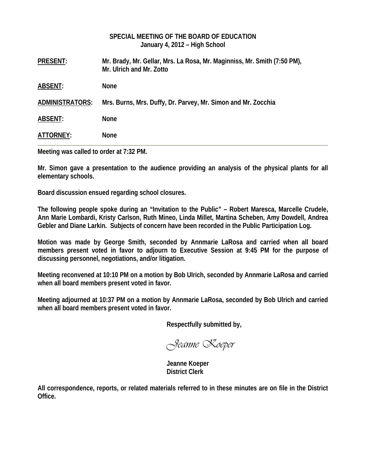### **SPECIAL MEETING OF THE BOARD OF EDUCATION January 4, 2012 – High School**

| <b>PRESENT:</b>        | Mr. Brady, Mr. Gellar, Mrs. La Rosa, Mr. Maginniss, Mr. Smith (7:50 PM),<br>Mr. Ulrich and Mr. Zotto |
|------------------------|------------------------------------------------------------------------------------------------------|
| <b>ABSENT:</b>         | <b>None</b>                                                                                          |
| <b>ADMINISTRATORS:</b> | Mrs. Burns, Mrs. Duffy, Dr. Parvey, Mr. Simon and Mr. Zocchia                                        |
| <b>ABSENT:</b>         | <b>None</b>                                                                                          |
| ATTORNEY:              | <b>None</b>                                                                                          |

**Meeting was called to order at 7:32 PM.** 

**Mr. Simon gave a presentation to the audience providing an analysis of the physical plants for all elementary schools.** 

**Board discussion ensued regarding school closures.** 

**The following people spoke during an "Invitation to the Public" – Robert Maresca, Marcelle Crudele, Ann Marie Lombardi, Kristy Carlson, Ruth Mineo, Linda Millet, Martina Scheben, Amy Dowdell, Andrea Gebler and Diane Larkin. Subjects of concern have been recorded in the Public Participation Log.** 

**Motion was made by George Smith, seconded by Annmarie LaRosa and carried when all board members present voted in favor to adjourn to Executive Session at 9:45 PM for the purpose of discussing personnel, negotiations, and/or litigation.** 

**Meeting reconvened at 10:10 PM on a motion by Bob Ulrich, seconded by Annmarie LaRosa and carried when all board members present voted in favor.** 

**Meeting adjourned at 10:37 PM on a motion by Annmarie LaRosa, seconded by Bob Ulrich and carried when all board members present voted in favor.** 

 **Respectfully submitted by,** 

*Jeanne Koeper* 

 **Jeanne Koeper District Clerk** 

**All correspondence, reports, or related materials referred to in these minutes are on file in the District Office.**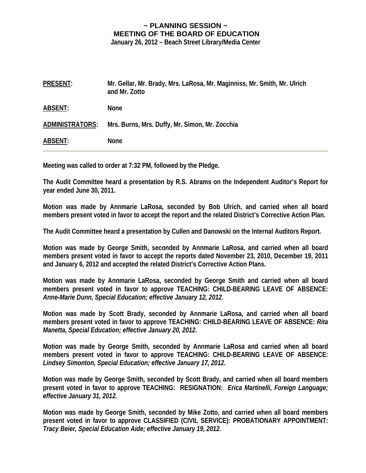# **~ PLANNING SESSION ~ MEETING OF THE BOARD OF EDUCATION**

**January 26, 2012 – Beach Street Library/Media Center** 

| <b>PRESENT:</b> | Mr. Gellar, Mr. Brady, Mrs. LaRosa, Mr. Maginniss, Mr. Smith, Mr. Ulrich<br>and Mr. Zotto |
|-----------------|-------------------------------------------------------------------------------------------|
| <b>ABSENT:</b>  | <b>None</b>                                                                               |
| ADMINISTRATORS: | Mrs. Burns, Mrs. Duffy, Mr. Simon, Mr. Zocchia                                            |
| <b>ABSENT:</b>  | <b>None</b>                                                                               |

**Meeting was called to order at 7:32 PM, followed by the Pledge.** 

**The Audit Committee heard a presentation by R.S. Abrams on the Independent Auditor's Report for year ended June 30, 2011.** 

**Motion was made by Annmarie LaRosa, seconded by Bob Ulrich, and carried when all board members present voted in favor to accept the report and the related District's Corrective Action Plan.** 

**The Audit Committee heard a presentation by Cullen and Danowski on the Internal Auditors Report.** 

**Motion was made by George Smith, seconded by Annmarie LaRosa, and carried when all board members present voted in favor to accept the reports dated November 23, 2010, December 19, 2011 and January 6, 2012 and accepted the related District's Corrective Action Plans.** 

**Motion was made by Annmarie LaRosa, seconded by George Smith and carried when all board members present voted in favor to approve TEACHING: CHILD-BEARING LEAVE OF ABSENCE:**  *Anne-Marie Dunn, Special Education; effective January 12, 2012.* 

**Motion was made by Scott Brady, seconded by Annmarie LaRosa, and carried when all board members present voted in favor to approve TEACHING: CHILD-BEARING LEAVE OF ABSENCE:** *Rita Manetta, Special Education; effective January 20, 2012.* 

**Motion was made by George Smith, seconded by Annmarie LaRosa and carried when all board members present voted in favor to approve TEACHING: CHILD-BEARING LEAVE OF ABSENCE:**  *Lindsey Simonton, Special Education; effective January 17, 2012.* 

**Motion was made by George Smith, seconded by Scott Brady, and carried when all board members present voted in favor to approve TEACHING: RESIGNATION:** *Erica Martinelli, Foreign Language; effective January 31, 2012.* 

**Motion was made by George Smith, seconded by Mike Zotto, and carried when all board members present voted in favor to approve CLASSIFIED (CIVIL SERVICE): PROBATIONARY APPOINTMENT:**  *Tracy Beier, Special Education Aide; effective January 19, 2012.*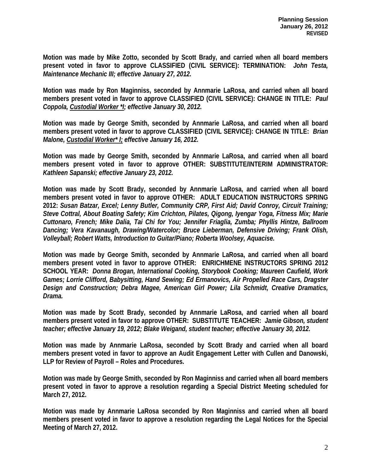**Motion was made by Mike Zotto, seconded by Scott Brady, and carried when all board members present voted in favor to approve CLASSIFIED (CIVIL SERVICE): TERMINATION:** *John Testa, Maintenance Mechanic III; effective January 27, 2012.* 

**Motion was made by Ron Maginniss, seconded by Annmarie LaRosa, and carried when all board members present voted in favor to approve CLASSIFIED (CIVIL SERVICE): CHANGE IN TITLE:** *Paul Coppola, Custodial Worker \*I; effective January 30, 2012.* 

**Motion was made by George Smith, seconded by Annmarie LaRosa, and carried when all board members present voted in favor to approve CLASSIFIED (CIVIL SERVICE): CHANGE IN TITLE:** *Brian Malone, Custodial Worker\* I; effective January 16, 2012.* 

**Motion was made by George Smith, seconded by Annmarie LaRosa, and carried when all board members present voted in favor to approve OTHER: SUBSTITUTE/INTERIM ADMINISTRATOR:** *Kathleen Sapanski; effective January 23, 2012.* 

**Motion was made by Scott Brady, seconded by Annmarie LaRosa, and carried when all board members present voted in favor to approve OTHER: ADULT EDUCATION INSTRUCTORS SPRING 2012:** *Susan Batzar, Excel; Lenny Butler, Community CRP, First Aid; David Conroy, Circuit Training; Steve Cottral, About Boating Safety; Kim Crichton, Pilates, Qigong, Iyengar Yoga, Fitness Mix; Marie Cuttonaro, French; Mike Dalia, Tai Chi for You; Jennifer Friaglia, Zumba; Phyllis Hintze, Ballroom Dancing; Vera Kavanaugh, Drawing/Watercolor; Bruce Lieberman, Defensive Driving; Frank Olish, Volleyball; Robert Watts, Introduction to Guitar/Piano; Roberta Woolsey, Aquacise.* 

**Motion was made by George Smith, seconded by Annmarie LaRosa, and carried when all board members present voted in favor to approve OTHER: ENRICHMENE INSTRUCTORS SPRING 2012 SCHOOL YEAR:** *Donna Brogan, International Cooking, Storybook Cooking; Maureen Caufield, Work Games; Lorrie Clifford, Babysitting, Hand Sewing; Ed Ermanovics, Air Propelled Race Cars, Dragster Design and Construction; Debra Magee, American Girl Power; Lila Schmidt, Creative Dramatics, Drama.* 

**Motion was made by Scott Brady, seconded by Annmarie LaRosa, and carried when all board members present voted in favor to approve OTHER: SUBSTITUTE TEACHER:** *Jamie Gibson, student teacher; effective January 19, 2012; Blake Weigand, student teacher; effective January 30, 2012.* 

**Motion was made by Annmarie LaRosa, seconded by Scott Brady and carried when all board members present voted in favor to approve an Audit Engagement Letter with Cullen and Danowski, LLP for Review of Payroll – Roles and Procedures.** 

**Motion was made by George Smith, seconded by Ron Maginniss and carried when all board members present voted in favor to approve a resolution regarding a Special District Meeting scheduled for March 27, 2012.** 

**Motion was made by Annmarie LaRosa seconded by Ron Maginniss and carried when all board members present voted in favor to approve a resolution regarding the Legal Notices for the Special Meeting of March 27, 2012.**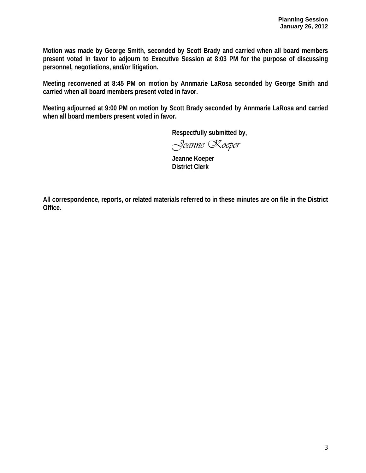**Motion was made by George Smith, seconded by Scott Brady and carried when all board members present voted in favor to adjourn to Executive Session at 8:03 PM for the purpose of discussing personnel, negotiations, and/or litigation.** 

**Meeting reconvened at 8:45 PM on motion by Annmarie LaRosa seconded by George Smith and carried when all board members present voted in favor.** 

**Meeting adjourned at 9:00 PM on motion by Scott Brady seconded by Annmarie LaRosa and carried when all board members present voted in favor.** 

 **Respectfully submitted by,** 

*Jeanne Koeper* 

 **Jeanne Koeper District Clerk** 

**All correspondence, reports, or related materials referred to in these minutes are on file in the District Office.**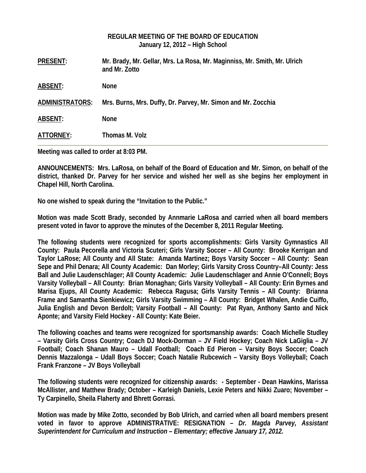|                 | REGULAR MEETING OF THE BOARD OF EDUCATION<br>January 12, 2012 – High School                |
|-----------------|--------------------------------------------------------------------------------------------|
| <b>PRESENT:</b> | Mr. Brady, Mr. Gellar, Mrs. La Rosa, Mr. Maginniss, Mr. Smith, Mr. Ulrich<br>and Mr. Zotto |
| <b>ABSENT:</b>  | <b>None</b>                                                                                |
| ADMINISTRATORS: | Mrs. Burns, Mrs. Duffy, Dr. Parvey, Mr. Simon and Mr. Zocchia                              |
| <b>ABSENT:</b>  | <b>None</b>                                                                                |
| ATTORNEY:       | Thomas M. Volz                                                                             |

**Meeting was called to order at 8:03 PM.** 

**ANNOUNCEMENTS: Mrs. LaRosa, on behalf of the Board of Education and Mr. Simon, on behalf of the district, thanked Dr. Parvey for her service and wished her well as she begins her employment in Chapel Hill, North Carolina.** 

**No one wished to speak during the "Invitation to the Public."** 

**Motion was made Scott Brady, seconded by Annmarie LaRosa and carried when all board members present voted in favor to approve the minutes of the December 8, 2011 Regular Meeting.** 

**The following students were recognized for sports accomplishments: Girls Varsity Gymnastics All County: Paula Pecorella and Victoria Scuteri; Girls Varsity Soccer – All County: Brooke Kerrigan and Taylor LaRose; All County and All State: Amanda Martinez; Boys Varsity Soccer – All County: Sean Sepe and Phil Denara; All County Academic: Dan Morley; Girls Varsity Cross Country–All County: Jess Ball and Julie Laudenschlager; All County Academic: Julie Laudenschlager and Annie O'Connell; Boys Varsity Volleyball – All County: Brian Monaghan; Girls Varsity Volleyball – All County: Erin Byrnes and Marisa Ejups, All County Academic: Rebecca Ragusa; Girls Varsity Tennis – All County: Brianna Frame and Samantha Sienkiewicz; Girls Varsity Swimming – All County: Bridget Whalen, Andie Cuiffo, Julia English and Devon Berdolt; Varsity Football – All County: Pat Ryan, Anthony Santo and Nick Aponte; and Varsity Field Hockey - All County: Kate Beier.**

**The following coaches and teams were recognized for sportsmanship awards: Coach Michelle Studley – Varsity Girls Cross Country; Coach DJ Mock-Dorman – JV Field Hockey; Coach Nick LaGiglia – JV Football; Coach Shanan Mauro – Udall Football; Coach Ed Pieron – Varsity Boys Soccer; Coach Dennis Mazzalonga – Udall Boys Soccer; Coach Natalie Rubcewich – Varsity Boys Volleyball; Coach Frank Franzone – JV Boys Volleyball** 

**The following students were recognized for citizenship awards: - September - Dean Hawkins, Marissa McAllister, and Matthew Brady; October – Karleigh Daniels, Lexie Peters and Nikki Zuaro; November – Ty Carpinello, Sheila Flaherty and Bhrett Gorrasi.** 

**Motion was made by Mike Zotto, seconded by Bob Ulrich, and carried when all board members present voted in favor to approve ADMINISTRATIVE: RESIGNATION –** *Dr. Magda Parvey, Assistant Superintendent for Curriculum and Instruction – Elementary; effective January 17, 2012.*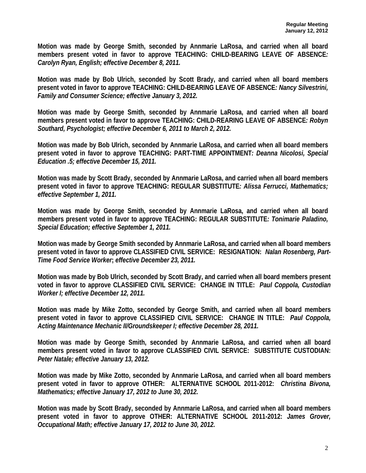**Motion was made by George Smith, seconded by Annmarie LaRosa, and carried when all board members present voted in favor to approve TEACHING: CHILD-BEARING LEAVE OF ABSENCE***: Carolyn Ryan, English; effective December 8, 2011.*

**Motion was made by Bob Ulrich, seconded by Scott Brady, and carried when all board members present voted in favor to approve TEACHING: CHILD-BEARING LEAVE OF ABSENCE***: Nancy Silvestrini, Family and Consumer Science; effective January 3, 2012.* 

**Motion was made by George Smith, seconded by Annmarie LaRosa, and carried when all board members present voted in favor to approve TEACHING: CHILD-REARING LEAVE OF ABSENCE***: Robyn Southard, Psychologist; effective December 6, 2011 to March 2, 2012.* 

**Motion was made by Bob Ulrich, seconded by Annmarie LaRosa, and carried when all board members present voted in favor to approve TEACHING: PART-TIME APPOINTMENT***: Deanna Nicolosi, Special Education .5; effective December 15, 2011.* 

**Motion was made by Scott Brady, seconded by Annmarie LaRosa, and carried when all board members present voted in favor to approve TEACHING: REGULAR SUBSTITUTE***: Alissa Ferrucci, Mathematics; effective September 1, 2011.* 

**Motion was made by George Smith, seconded by Annmarie LaRosa, and carried when all board members present voted in favor to approve TEACHING: REGULAR SUBSTITUTE***: Tonimarie Paladino, Special Education; effective September 1, 2011.* 

**Motion was made by George Smith seconded by Annmarie LaRosa, and carried when all board members present voted in favor to approve CLASSIFIED CIVIL SERVICE: RESIGNATION:** *Nalan Rosenberg, Part-Time Food Service Worker***;** *effective December 23, 2011.* 

**Motion was made by Bob Ulrich, seconded by Scott Brady, and carried when all board members present voted in favor to approve CLASSIFIED CIVIL SERVICE: CHANGE IN TITLE:** *Paul Coppola, Custodian Worker I; effective December 12, 2011.* 

**Motion was made by Mike Zotto, seconded by George Smith, and carried when all board members present voted in favor to approve CLASSIFIED CIVIL SERVICE: CHANGE IN TITLE:** *Paul Coppola, Acting Maintenance Mechanic II/Groundskeeper I; effective December 28, 2011.* 

**Motion was made by George Smith, seconded by Annmarie LaRosa, and carried when all board members present voted in favor to approve CLASSIFIED CIVIL SERVICE: SUBSTITUTE CUSTODIAN:**  *Peter Natale; effective January 13, 2012.* 

**Motion was made by Mike Zotto, seconded by Annmarie LaRosa, and carried when all board members present voted in favor to approve OTHER: ALTERNATIVE SCHOOL 2011-2012:** *Christina Bivona, Mathematics; effective January 17, 2012 to June 30, 2012.* 

**Motion was made by Scott Brady, seconded by Annmarie LaRosa, and carried when all board members present voted in favor to approve OTHER: ALTERNATIVE SCHOOL 2011-2012:** *James Grover, Occupational Math; effective January 17, 2012 to June 30, 2012.*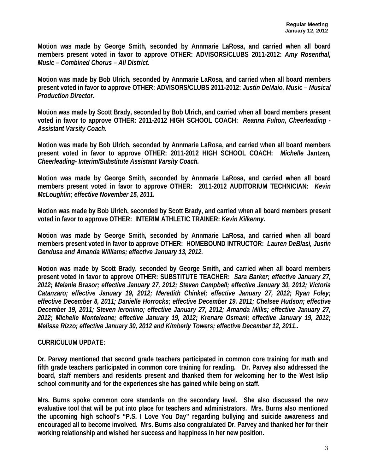**Motion was made by George Smith, seconded by Annmarie LaRosa, and carried when all board members present voted in favor to approve OTHER: ADVISORS/CLUBS 2011-2012:** *Amy Rosenthal, Music – Combined Chorus – All District.* 

**Motion was made by Bob Ulrich, seconded by Annmarie LaRosa, and carried when all board members present voted in favor to approve OTHER: ADVISORS/CLUBS 2011-2012:** *Justin DeMaio, Music – Musical Production Director.*

**Motion was made by Scott Brady, seconded by Bob Ulrich, and carried when all board members present voted in favor to approve OTHER: 2011-2012 HIGH SCHOOL COACH:** *Reanna Fulton, Cheerleading - Assistant Varsity Coach.* 

**Motion was made by Bob Ulrich, seconded by Annmarie LaRosa, and carried when all board members present voted in favor to approve OTHER: 2011-2012 HIGH SCHOOL COACH:** *Michelle* **Jantzen***, Cheerleading- Interim/Substitute Assistant Varsity Coach.* 

**Motion was made by George Smith, seconded by Annmarie LaRosa, and carried when all board members present voted in favor to approve OTHER: 2011-2012 AUDITORIUM TECHNICIAN:** *Kevin McLoughlin; effective November 15, 2011.* 

**Motion was made by Bob Ulrich, seconded by Scott Brady, and carried when all board members present voted in favor to approve OTHER: INTERIM ATHLETIC TRAINER:** *Kevin Kilkenny***.** 

**Motion was made by George Smith, seconded by Annmarie LaRosa, and carried when all board members present voted in favor to approve OTHER: HOMEBOUND INTRUCTOR:** *Lauren DeBlasi, Justin Gendusa and Amanda Williams; effective January 13, 2012.* 

**Motion was made by Scott Brady, seconded by George Smith, and carried when all board members present voted in favor to approve OTHER: SUBSTITUTE TEACHER:** *Sara Barker; effective January 27, 2012; Melanie Brasor; effective January 27, 2012; Steven Campbell; effective January 30, 2012; Victoria Catanzaro; effective January 19, 2012; Meredith Chinkel; effective January 27, 2012; Ryan Foley; effective December 8, 2011; Danielle Horrocks; effective December 19, 2011; Chelsee Hudson; effective December 19, 2011; Steven Ieronimo; effective January 27, 2012; Amanda Milks; effective January 27, 2012; Michelle Monteleone; effective January 19, 2012; Krenare Osmani; effective January 19, 2012; Melissa Rizzo; effective January 30, 2012 and Kimberly Towers; effective December 12, 2011..* 

### **CURRICULUM UPDATE:**

**Dr. Parvey mentioned that second grade teachers participated in common core training for math and fifth grade teachers participated in common core training for reading. Dr. Parvey also addressed the board, staff members and residents present and thanked them for welcoming her to the West Islip school community and for the experiences she has gained while being on staff.** 

**Mrs. Burns spoke common core standards on the secondary level. She also discussed the new evaluative tool that will be put into place for teachers and administrators. Mrs. Burns also mentioned the upcoming high school's "P.S. I Love You Day" regarding bullying and suicide awareness and encouraged all to become involved. Mrs. Burns also congratulated Dr. Parvey and thanked her for their working relationship and wished her success and happiness in her new position.**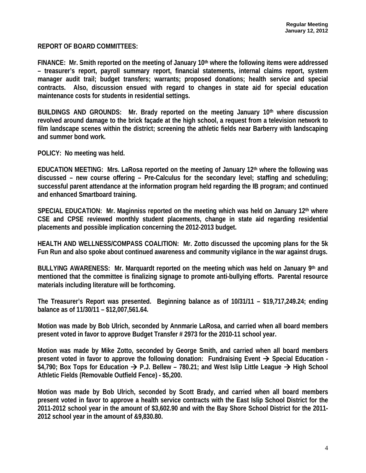**REPORT OF BOARD COMMITTEES:** 

**FINANCE: Mr. Smith reported on the meeting of January 10th where the following items were addressed – treasurer's report, payroll summary report, financial statements, internal claims report, system manager audit trail; budget transfers; warrants; proposed donations; health service and special contracts. Also, discussion ensued with regard to changes in state aid for special education maintenance costs for students in residential settings.** 

**BUILDINGS AND GROUNDS: Mr. Brady reported on the meeting January 10th where discussion revolved around damage to the brick façade at the high school, a request from a television network to film landscape scenes within the district; screening the athletic fields near Barberry with landscaping and summer bond work.** 

**POLICY: No meeting was held.** 

**EDUCATION MEETING: Mrs. LaRosa reported on the meeting of January 12th where the following was discussed – new course offering – Pre-Calculus for the secondary level; staffing and scheduling; successful parent attendance at the information program held regarding the IB program; and continued and enhanced Smartboard training.** 

**SPECIAL EDUCATION: Mr. Maginniss reported on the meeting which was held on January 12th where CSE and CPSE reviewed monthly student placements, change in state aid regarding residential placements and possible implication concerning the 2012-2013 budget.** 

**HEALTH AND WELLNESS/COMPASS COALITION: Mr. Zotto discussed the upcoming plans for the 5k Fun Run and also spoke about continued awareness and community vigilance in the war against drugs.** 

**BULLYING AWARENESS: Mr. Marquardt reported on the meeting which was held on January 9th and mentioned that the committee is finalizing signage to promote anti-bullying efforts. Parental resource materials including literature will be forthcoming.** 

**The Treasurer's Report was presented. Beginning balance as of 10/31/11 – \$19,717,249.24; ending balance as of 11/30/11 – \$12,007,561.64.** 

**Motion was made by Bob Ulrich, seconded by Annmarie LaRosa, and carried when all board members present voted in favor to approve Budget Transfer # 2973 for the 2010-11 school year.** 

**Motion was made by Mike Zotto, seconded by George Smith, and carried when all board members present voted in favor to approve the following donation: Fundraising Event**  $\rightarrow$  **Special Education -**\$4,790; Box Tops for Education → P.J. Bellew – 780.21; and West Islip Little League → High School **Athletic Fields (Removable Outfield Fence) - \$5,200.** 

**Motion was made by Bob Ulrich, seconded by Scott Brady, and carried when all board members present voted in favor to approve a health service contracts with the East Islip School District for the 2011-2012 school year in the amount of \$3,602.90 and with the Bay Shore School District for the 2011- 2012 school year in the amount of &9,830.80.**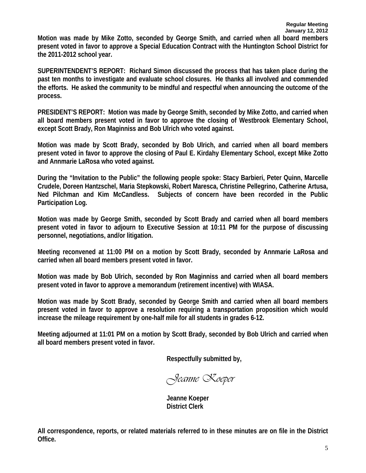**Motion was made by Mike Zotto, seconded by George Smith, and carried when all board members present voted in favor to approve a Special Education Contract with the Huntington School District for the 2011-2012 school year.** 

**SUPERINTENDENT'S REPORT: Richard Simon discussed the process that has taken place during the past ten months to investigate and evaluate school closures. He thanks all involved and commended the efforts. He asked the community to be mindful and respectful when announcing the outcome of the process.** 

**PRESIDENT'S REPORT: Motion was made by George Smith, seconded by Mike Zotto, and carried when all board members present voted in favor to approve the closing of Westbrook Elementary School, except Scott Brady, Ron Maginniss and Bob Ulrich who voted against.** 

**Motion was made by Scott Brady, seconded by Bob Ulrich, and carried when all board members present voted in favor to approve the closing of Paul E. Kirdahy Elementary School, except Mike Zotto and Annmarie LaRosa who voted against.** 

**During the "Invitation to the Public" the following people spoke: Stacy Barbieri, Peter Quinn, Marcelle Crudele, Doreen Hantzschel, Maria Stepkowski, Robert Maresca, Christine Pellegrino, Catherine Artusa, Ned Pilchman and Kim McCandless. Subjects of concern have been recorded in the Public Participation Log.** 

**Motion was made by George Smith, seconded by Scott Brady and carried when all board members present voted in favor to adjourn to Executive Session at 10:11 PM for the purpose of discussing personnel, negotiations, and/or litigation.** 

**Meeting reconvened at 11:00 PM on a motion by Scott Brady, seconded by Annmarie LaRosa and carried when all board members present voted in favor.** 

**Motion was made by Bob Ulrich, seconded by Ron Maginniss and carried when all board members present voted in favor to approve a memorandum (retirement incentive) with WIASA.** 

**Motion was made by Scott Brady, seconded by George Smith and carried when all board members present voted in favor to approve a resolution requiring a transportation proposition which would increase the mileage requirement by one-half mile for all students in grades 6-12.** 

**Meeting adjourned at 11:01 PM on a motion by Scott Brady, seconded by Bob Ulrich and carried when all board members present voted in favor.** 

**Respectfully submitted by,** 

*Jeanne Koeper* 

 **Jeanne Koeper District Clerk** 

**All correspondence, reports, or related materials referred to in these minutes are on file in the District Office.**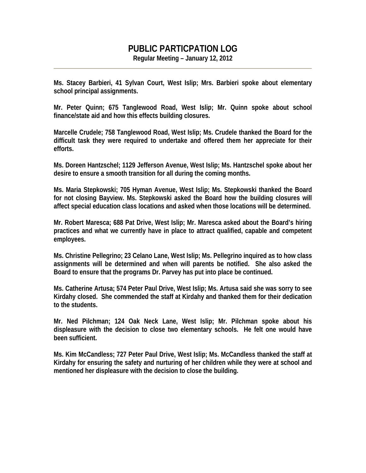# **PUBLIC PARTICPATION LOG**

**Regular Meeting – January 12, 2012** 

**Ms. Stacey Barbieri, 41 Sylvan Court, West Islip; Mrs. Barbieri spoke about elementary school principal assignments.** 

**Mr. Peter Quinn; 675 Tanglewood Road, West Islip; Mr. Quinn spoke about school finance/state aid and how this effects building closures.** 

**Marcelle Crudele; 758 Tanglewood Road, West Islip; Ms. Crudele thanked the Board for the difficult task they were required to undertake and offered them her appreciate for their efforts.** 

**Ms. Doreen Hantzschel; 1129 Jefferson Avenue, West Islip; Ms. Hantzschel spoke about her desire to ensure a smooth transition for all during the coming months.** 

**Ms. Maria Stepkowski; 705 Hyman Avenue, West Islip; Ms. Stepkowski thanked the Board for not closing Bayview. Ms. Stepkowski asked the Board how the building closures will affect special education class locations and asked when those locations will be determined.** 

**Mr. Robert Maresca; 688 Pat Drive, West Islip; Mr. Maresca asked about the Board's hiring practices and what we currently have in place to attract qualified, capable and competent employees.** 

**Ms. Christine Pellegrino; 23 Celano Lane, West Islip; Ms. Pellegrino inquired as to how class assignments will be determined and when will parents be notified. She also asked the Board to ensure that the programs Dr. Parvey has put into place be continued.** 

**Ms. Catherine Artusa; 574 Peter Paul Drive, West Islip; Ms. Artusa said she was sorry to see Kirdahy closed. She commended the staff at Kirdahy and thanked them for their dedication to the students.** 

**Mr. Ned Pilchman; 124 Oak Neck Lane, West Islip; Mr. Pilchman spoke about his displeasure with the decision to close two elementary schools. He felt one would have been sufficient.** 

**Ms. Kim McCandless; 727 Peter Paul Drive, West Islip; Ms. McCandless thanked the staff at Kirdahy for ensuring the safety and nurturing of her children while they were at school and mentioned her displeasure with the decision to close the building.**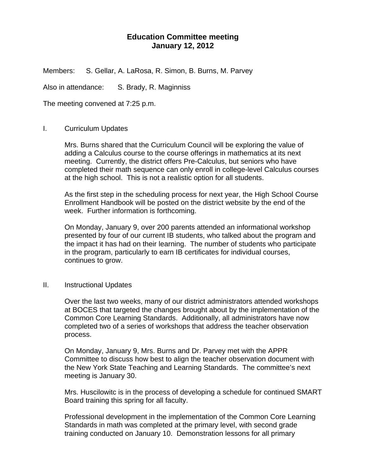## **Education Committee meeting January 12, 2012**

Members: S. Gellar, A. LaRosa, R. Simon, B. Burns, M. Parvey

Also in attendance: S. Brady, R. Maginniss

The meeting convened at 7:25 p.m.

### I. Curriculum Updates

Mrs. Burns shared that the Curriculum Council will be exploring the value of adding a Calculus course to the course offerings in mathematics at its next meeting. Currently, the district offers Pre-Calculus, but seniors who have completed their math sequence can only enroll in college-level Calculus courses at the high school. This is not a realistic option for all students.

As the first step in the scheduling process for next year, the High School Course Enrollment Handbook will be posted on the district website by the end of the week. Further information is forthcoming.

On Monday, January 9, over 200 parents attended an informational workshop presented by four of our current IB students, who talked about the program and the impact it has had on their learning. The number of students who participate in the program, particularly to earn IB certificates for individual courses, continues to grow.

### II. Instructional Updates

Over the last two weeks, many of our district administrators attended workshops at BOCES that targeted the changes brought about by the implementation of the Common Core Learning Standards. Additionally, all administrators have now completed two of a series of workshops that address the teacher observation process.

On Monday, January 9, Mrs. Burns and Dr. Parvey met with the APPR Committee to discuss how best to align the teacher observation document with the New York State Teaching and Learning Standards. The committee's next meeting is January 30.

Mrs. Huscilowitc is in the process of developing a schedule for continued SMART Board training this spring for all faculty.

Professional development in the implementation of the Common Core Learning Standards in math was completed at the primary level, with second grade training conducted on January 10. Demonstration lessons for all primary